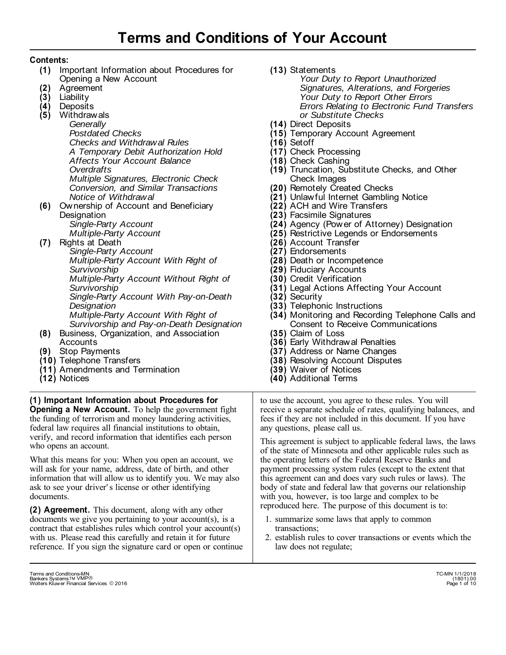# **Contents:**

- (1) Important Information about Procedures for Opening a New Account
- Agreement **(2)**
- Liability **(3)**
- Deposits **(4)**
- Withdrawals **(5)**

*Generally Postdated Checks Checks and Withdrawal Rules A Temporary Debit Authorization Hold Affects Your Account Balance Overdrafts Multiple Signatures, Electronic Check Conversion, and Similar Transactions Notice of Withdrawal* 

Ownership of Account and Beneficiary **(6) Designation** *Single-Party Account* 

*Multiple-Party Account* 

Rights at Death **(7)** 

*Single-Party Account Multiple-Party Account With Right of Survivorship Multiple-Party Account Without Right of Survivorship Single-Party Account With Pay-on-Death Designation Multiple-Party Account With Right of Survivorship and Pay-on-Death Designation*

- Business, Organization, and Association **(8)**  Accounts
- Stop Payments **(9)**
- **(10)** Telephone Transfers
- (11) Amendments and Termination
- Notices **(12)**

**(1) Important Information about Procedures for Opening a New Account.** To help the government fight the funding of terrorism and money laundering activities, federal law requires all financial institutions to obtain, verify, and record information that identifies each person who opens an account.

What this means for you: When you open an account, we will ask for your name, address, date of birth, and other information that will allow us to identify you. We may also ask to see your driver' s license or other identifying documents.

**(2) Agreement.** This document, along with any other documents we give you pertaining to your account(s), is a contract that establishes rules which control your account(s) with us. Please read this carefully and retain it for future reference. If you sign the signature card or open or continue **(13)**  Statements

*Your Duty to Report Unauthorized Signatures, Alterations, and Forgeries Your Duty to Report Other Errors Errors Relating to Electronic Fund Transfers or Substitute Checks*

- **(14)**  Direct Deposits
- **(15)**  Temporary Account Agreement
- **(16)**  Setoff
- **(17)**  Check Processing
- **(18)**  Check Cashing
- **(19)**  Truncation, Substitute Checks, and Other Check Images
- **(20)**  Remotely Created Checks
- **(21)**  Unlawful Internet Gambling Notice
- **(22)**  ACH and Wire Transfers
- **(23)**  Facsimile Signatures
- **(24)**  Agency (Power of Attorney) Designation
- **(25)**  Restrictive Legends or Endorsements
- **(26)**  Account Transfer
- **(27)**  Endorsements
- **(28)**  Death or Incompetence
- **(29)**  Fiduciary Accounts
- **(30)**  Credit Verification
- **(31)**  Legal Actions Affecting Your Account
- **(32)**  Security
- **(33)**  Telephonic Instructions
- **(34)**  Monitoring and Recording Telephone Calls and Consent to Receive Communications
- **(35)**  Claim of Loss
- **(36)**  Early Withdrawal Penalties
- **(37)**  Address or Name Changes
- **(38)**  Resolving Account Disputes
- **(39)**  Waiver of Notices
- **(40)** Additional Terms

to use the account, you agree to these rules. You will receive a separate schedule of rates, qualifying balances, and fees if they are not included in this document. If you have any questions, please call us.

This agreement is subject to applicable federal laws, the laws of the state of Minnesota and other applicable rules such as the operating letters of the Federal Reserve Banks and payment processing system rules (except to the extent that this agreement can and does vary such rules or laws). The body of state and federal law that governs our relationship with you, however, is too large and complex to be reproduced here. The purpose of this document is to:

- 1. summarize some laws that apply to common transactions;
- 2. establish rules to cover transactions or events which the law does not regulate;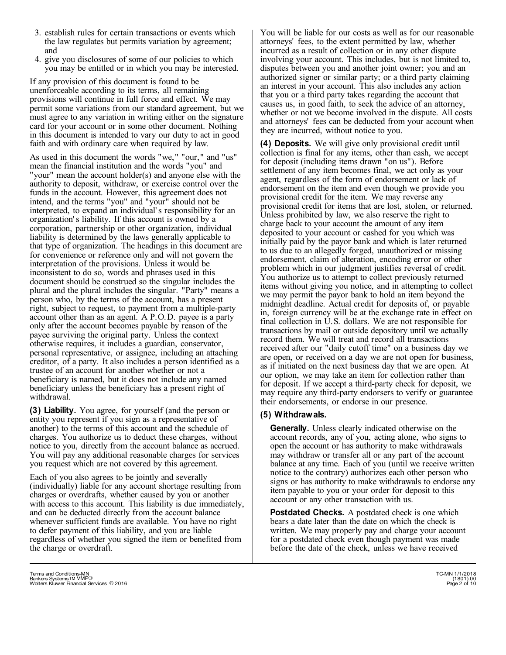- 3. establish rules for certain transactions or events which the law regulates but permits variation by agreement; and
- 4. give you disclosures of some of our policies to which you may be entitled or in which you may be interested.

If any provision of this document is found to be unenforceable according to its terms, all remaining provisions will continue in full force and effect. We may permit some variations from our standard agreement, but we must agree to any variation in writing either on the signature card for your account or in some other document. Nothing in this document is intended to vary our duty to act in good faith and with ordinary care when required by law. **(4) Deposits.** We will give only provisional credit until

As used in this document the words "we," "our," and "us" mean the financial institution and the words "you" and "your" mean the account holder(s) and anyone else with the authority to deposit, withdraw, or exercise control over the funds in the account. However, this agreement does not intend, and the terms "you" and "your" should not be interpreted, to expand an individual' s responsibility for an organization' s liability. If this account is owned by a corporation, partnership or other organization, individual liability is determined by the laws generally applicable to that type of organization. The headings in this document are for convenience or reference only and will not govern the interpretation of the provisions. Unless it would be inconsistent to do so, words and phrases used in this document should be construed so the singular includes the plural and the plural includes the singular. "Party" means a person who, by the terms of the account, has a present right, subject to request, to payment from a multiple-party account other than as an agent. A P.O.D. payee is a party only after the account becomes payable by reason of the payee surviving the original party. Unless the context otherwise requires, it includes a guardian, conservator, personal representative, or assignee, including an attaching creditor, of a party. It also includes a person identified as a trustee of an account for another whether or not a beneficiary is named, but it does not include any named beneficiary unless the beneficiary has a present right of withdrawal.

**(3) Liability.** You agree, for yourself (and the person or entity you represent if you sign as a representative of another) to the terms of this account and the schedule of charges. You authorize us to deduct these charges, without notice to you, directly from the account balance as accrued. You will pay any additional reasonable charges for services you request which are not covered by this agreement.

Each of you also agrees to be jointly and severally (individually) liable for any account shortage resulting from charges or overdrafts, whether caused by you or another with access to this account. This liability is due immediately, and can be deducted directly from the account balance whenever sufficient funds are available. You have no right to defer payment of this liability, and you are liable regardless of whether you signed the item or benefited from the charge or overdraft.

You will be liable for our costs as well as for our reasonable attorneys' fees, to the extent permitted by law, whether incurred as a result of collection or in any other dispute involving your account. This includes, but is not limited to, disputes between you and another joint owner; you and an authorized signer or similar party; or a third party claiming an interest in your account. This also includes any action that you or a third party takes regarding the account that causes us, in good faith, to seek the advice of an attorney, whether or not we become involved in the dispute. All costs and attorneys' fees can be deducted from your account when they are incurred, without notice to you.

collection is final for any items, other than cash, we accept for deposit (including items drawn "on us"). Before settlement of any item becomes final, we act only as your agent, regardless of the form of endorsement or lack of endorsement on the item and even though we provide you provisional credit for the item. We may reverse any provisional credit for items that are lost, stolen, or returned. Unless prohibited by law, we also reserve the right to charge back to your account the amount of any item deposited to your account or cashed for you which was initially paid by the payor bank and which is later returned to us due to an allegedly forged, unauthorized or missing endorsement, claim of alteration, encoding error or other problem which in our judgment justifies reversal of credit. You authorize us to attempt to collect previously returned items without giving you notice, and in attempting to collect we may permit the payor bank to hold an item beyond the midnight deadline. Actual credit for deposits of, or payable in, foreign currency will be at the exchange rate in effect on final collection in U.S. dollars. We are not responsible for transactions by mail or outside depository until we actually record them. We will treat and record all transactions received after our "daily cutoff time" on a business day we are open, or received on a day we are not open for business, as if initiated on the next business day that we are open. At our option, we may take an item for collection rather than for deposit. If we accept a third-party check for deposit, we may require any third-party endorsers to verify or guarantee their endorsements, or endorse in our presence.

## **(5) Withdrawals.**

**Generally.** Unless clearly indicated otherwise on the account records, any of you, acting alone, who signs to open the account or has authority to make withdrawals may withdraw or transfer all or any part of the account balance at any time. Each of you (until we receive written notice to the contrary) authorizes each other person who signs or has authority to make withdrawals to endorse any item payable to you or your order for deposit to this account or any other transaction with us.

**Postdated Checks.** A postdated check is one which bears a date later than the date on which the check is written. We may properly pay and charge your account for a postdated check even though payment was made before the date of the check, unless we have received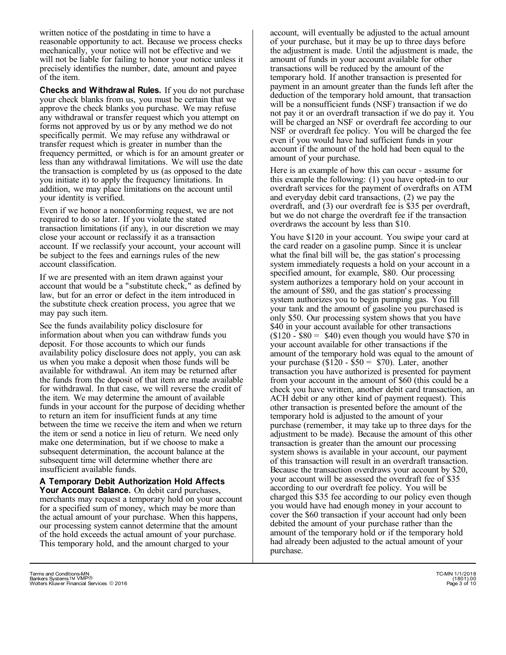written notice of the postdating in time to have a reasonable opportunity to act. Because we process checks mechanically, your notice will not be effective and we will not be liable for failing to honor your notice unless it precisely identifies the number, date, amount and payee of the item.

**Checks and Withdrawal Rules.** If you do not purchase your check blanks from us, you must be certain that we approve the check blanks you purchase. We may refuse any withdrawal or transfer request which you attempt on forms not approved by us or by any method we do not specifically permit. We may refuse any withdrawal or transfer request which is greater in number than the frequency permitted, or which is for an amount greater or less than any withdrawal limitations. We will use the date the transaction is completed by us (as opposed to the date you initiate it) to apply the frequency limitations. In addition, we may place limitations on the account until your identity is verified.

Even if we honor a nonconforming request, we are not required to do so later. If you violate the stated transaction limitations (if any), in our discretion we may close your account or reclassify it as a transaction account. If we reclassify your account, your account will be subject to the fees and earnings rules of the new account classification.

If we are presented with an item drawn against your account that would be a "substitute check," as defined by law, but for an error or defect in the item introduced in the substitute check creation process, you agree that we may pay such item.

See the funds availability policy disclosure for information about when you can withdraw funds you deposit. For those accounts to which our funds availability policy disclosure does not apply, you can ask us when you make a deposit when those funds will be available for withdrawal. An item may be returned after the funds from the deposit of that item are made available for withdrawal. In that case, we will reverse the credit of the item. We may determine the amount of available funds in your account for the purpose of deciding whether to return an item for insufficient funds at any time between the time we receive the item and when we return the item or send a notice in lieu of return. We need only make one determination, but if we choose to make a subsequent determination, the account balance at the subsequent time will determine whether there are insufficient available funds.

**A Temporary Debit Authorization Hold Affects Your Account Balance.** On debit card purchases, merchants may request a temporary hold on your account for a specified sum of money, which may be more than the actual amount of your purchase. When this happens, our processing system cannot determine that the amount of the hold exceeds the actual amount of your purchase. This temporary hold, and the amount charged to your

account, will eventually be adjusted to the actual amount of your purchase, but it may be up to three days before the adjustment is made. Until the adjustment is made, the amount of funds in your account available for other transactions will be reduced by the amount of the temporary hold. If another transaction is presented for payment in an amount greater than the funds left after the deduction of the temporary hold amount, that transaction will be a nonsufficient funds (NSF) transaction if we do not pay it or an overdraft transaction if we do pay it. You will be charged an NSF or overdraft fee according to our NSF or overdraft fee policy. You will be charged the fee even if you would have had sufficient funds in your account if the amount of the hold had been equal to the amount of your purchase.

Here is an example of how this can occur - assume for this example the following: (1) you have opted-in to our overdraft services for the payment of overdrafts on ATM and everyday debit card transactions, (2) we pay the overdraft, and (3) our overdraft fee is \$35 per overdraft, but we do not charge the overdraft fee if the transaction overdraws the account by less than \$10.

You have \$120 in your account. You swipe your card at the card reader on a gasoline pump. Since it is unclear what the final bill will be, the gas station's processing system immediately requests a hold on your account in a specified amount, for example, \$80. Our processing system authorizes a temporary hold on your account in the amount of \$80, and the gas station' s processing system authorizes you to begin pumping gas. You fill your tank and the amount of gasoline you purchased is only \$50. Our processing system shows that you have \$40 in your account available for other transactions  $($120 - $80 = $40)$  even though you would have \$70 in your account available for other transactions if the amount of the temporary hold was equal to the amount of your purchase  $(\$120 - \$50 = \$70)$ . Later, another transaction you have authorized is presented for payment from your account in the amount of \$60 (this could be a check you have written, another debit card transaction, an ACH debit or any other kind of payment request). This other transaction is presented before the amount of the temporary hold is adjusted to the amount of your purchase (remember, it may take up to three days for the adjustment to be made). Because the amount of this other transaction is greater than the amount our processing system shows is available in your account, our payment of this transaction will result in an overdraft transaction. Because the transaction overdraws your account by \$20, your account will be assessed the overdraft fee of \$35 according to our overdraft fee policy. You will be charged this \$35 fee according to our policy even though you would have had enough money in your account to cover the \$60 transaction if your account had only been debited the amount of your purchase rather than the amount of the temporary hold or if the temporary hold had already been adjusted to the actual amount of your purchase.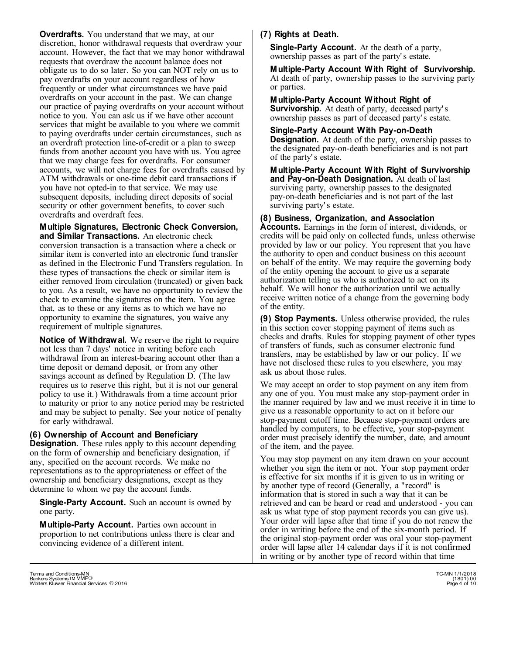**Overdrafts.** You understand that we may, at our discretion, honor withdrawal requests that overdraw your account. However, the fact that we may honor withdrawal requests that overdraw the account balance does not obligate us to do so later. So you can NOT rely on us to pay overdrafts on your account regardless of how frequently or under what circumstances we have paid overdrafts on your account in the past. We can change our practice of paying overdrafts on your account without notice to you. You can ask us if we have other account services that might be available to you where we commit to paying overdrafts under certain circumstances, such as an overdraft protection line-of-credit or a plan to sweep funds from another account you have with us. You agree that we may charge fees for overdrafts. For consumer accounts, we will not charge fees for overdrafts caused by ATM withdrawals or one-time debit card transactions if you have not opted-in to that service. We may use subsequent deposits, including direct deposits of social security or other government benefits, to cover such overdrafts and overdraft fees.

#### **Multiple Signatures, Electronic Check Conversion, and Similar Transactions.** An electronic check

conversion transaction is a transaction where a check or similar item is converted into an electronic fund transfer as defined in the Electronic Fund Transfers regulation. In these types of transactions the check or similar item is either removed from circulation (truncated) or given back to you. As a result, we have no opportunity to review the check to examine the signatures on the item. You agree that, as to these or any items as to which we have no opportunity to examine the signatures, you waive any requirement of multiple signatures.

**Notice of Withdrawal.** We reserve the right to require not less than 7 days' notice in writing before each withdrawal from an interest-bearing account other than a time deposit or demand deposit, or from any other savings account as defined by Regulation D. (The law requires us to reserve this right, but it is not our general policy to use it.) Withdrawals from a time account prior to maturity or prior to any notice period may be restricted and may be subject to penalty. See your notice of penalty for early withdrawal.

#### **(6) Ownership of Account and Beneficiary**

**Designation.** These rules apply to this account depending on the form of ownership and beneficiary designation, if any, specified on the account records. We make no representations as to the appropriateness or effect of the ownership and beneficiary designations, except as they determine to whom we pay the account funds.

**Single-Party Account.** Such an account is owned by one party.

**Multiple-Party Account.** Parties own account in proportion to net contributions unless there is clear and convincing evidence of a different intent.

# **(7) Rights at Death.**

**Single-Party Account.** At the death of a party, ownership passes as part of the party' s estate.

**Multiple-Party Account With Right of Survivorship.** At death of party, ownership passes to the surviving party or parties.

**Multiple-Party Account Without Right of Survivorship.** At death of party, deceased party' s ownership passes as part of deceased party' s estate.

## **Single-Party Account With Pay-on-Death**

**Designation.** At death of the party, ownership passes to the designated pay-on-death beneficiaries and is not part of the party' s estate.

**Multiple-Party Account With Right of Survivorship and Pay-on-Death Designation.** At death of last surviving party, ownership passes to the designated pay-on-death beneficiaries and is not part of the last surviving party' s estate.

### **(8) Business, Organization, and Association**

**Accounts.** Earnings in the form of interest, dividends, or credits will be paid only on collected funds, unless otherwise provided by law or our policy. You represent that you have the authority to open and conduct business on this account on behalf of the entity. We may require the governing body of the entity opening the account to give us a separate authorization telling us who is authorized to act on its behalf. We will honor the authorization until we actually receive written notice of a change from the governing body of the entity.

**(9) Stop Payments.** Unless otherwise provided, the rules in this section cover stopping payment of items such as checks and drafts. Rules for stopping payment of other types of transfers of funds, such as consumer electronic fund transfers, may be established by law or our policy. If we have not disclosed these rules to you elsewhere, you may ask us about those rules.

We may accept an order to stop payment on any item from any one of you. You must make any stop-payment order in the manner required by law and we must receive it in time to give us a reasonable opportunity to act on it before our stop-payment cutoff time. Because stop-payment orders are handled by computers, to be effective, your stop-payment order must precisely identify the number, date, and amount of the item, and the payee.

You may stop payment on any item drawn on your account whether you sign the item or not. Your stop payment order is effective for six months if it is given to us in writing or by another type of record (Generally, a "record" is information that is stored in such a way that it can be retrieved and can be heard or read and understood - you can ask us what type of stop payment records you can give us). Your order will lapse after that time if you do not renew the order in writing before the end of the six-month period. If the original stop-payment order was oral your stop-payment order will lapse after 14 calendar days if it is not confirmed in writing or by another type of record within that time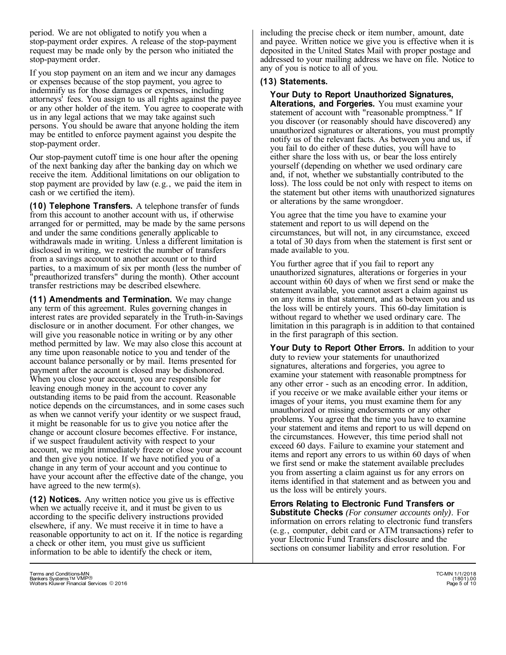period. We are not obligated to notify you when a stop-payment order expires. A release of the stop-payment request may be made only by the person who initiated the stop-payment order.

If you stop payment on an item and we incur any damages or expenses because of the stop payment, you agree to indemnify us for those damages or expenses, including attorneys' fees. You assign to us all rights against the payee or any other holder of the item. You agree to cooperate with us in any legal actions that we may take against such persons. You should be aware that anyone holding the item may be entitled to enforce payment against you despite the stop-payment order.

Our stop-payment cutoff time is one hour after the opening of the next banking day after the banking day on which we receive the item. Additional limitations on our obligation to stop payment are provided by law (e.g., we paid the item in cash or we certified the item).

**(10) Telephone Transfers.** A telephone transfer of funds from this account to another account with us, if otherwise arranged for or permitted, may be made by the same persons and under the same conditions generally applicable to withdrawals made in writing. Unless a different limitation is disclosed in writing, we restrict the number of transfers from a savings account to another account or to third parties, to a maximum of six per month (less the number of "preauthorized transfers" during the month). Other account transfer restrictions may be described elsewhere.

**(11) Amendments and Termination.** We may change any term of this agreement. Rules governing changes in interest rates are provided separately in the Truth-in-Savings disclosure or in another document. For other changes, we will give you reasonable notice in writing or by any other method permitted by law. We may also close this account at any time upon reasonable notice to you and tender of the account balance personally or by mail. Items presented for payment after the account is closed may be dishonored. When you close your account, you are responsible for leaving enough money in the account to cover any outstanding items to be paid from the account. Reasonable notice depends on the circumstances, and in some cases such as when we cannot verify your identity or we suspect fraud, it might be reasonable for us to give you notice after the change or account closure becomes effective. For instance, if we suspect fraudulent activity with respect to your account, we might immediately freeze or close your account and then give you notice. If we have notified you of a change in any term of your account and you continue to have your account after the effective date of the change, you have agreed to the new term(s).

**(12) Notices.** Any written notice you give us is effective when we actually receive it, and it must be given to us according to the specific delivery instructions provided elsewhere, if any. We must receive it in time to have a reasonable opportunity to act on it. If the notice is regarding a check or other item, you must give us sufficient information to be able to identify the check or item,

including the precise check or item number, amount, date and payee. Written notice we give you is effective when it is deposited in the United States Mail with proper postage and addressed to your mailing address we have on file. Notice to any of you is notice to all of you.

#### **(13) Statements.**

# **Your Duty to Report Unauthorized Signatures,**

**Alterations, and Forgeries.** You must examine your statement of account with "reasonable promptness." If you discover (or reasonably should have discovered) any unauthorized signatures or alterations, you must promptly notify us of the relevant facts. As between you and us, if you fail to do either of these duties, you will have to either share the loss with us, or bear the loss entirely yourself (depending on whether we used ordinary care and, if not, whether we substantially contributed to the loss). The loss could be not only with respect to items on the statement but other items with unauthorized signatures or alterations by the same wrongdoer.

You agree that the time you have to examine your statement and report to us will depend on the circumstances, but will not, in any circumstance, exceed a total of 30 days from when the statement is first sent or made available to you.

You further agree that if you fail to report any unauthorized signatures, alterations or forgeries in your account within 60 days of when we first send or make the statement available, you cannot assert a claim against us on any items in that statement, and as between you and us the loss will be entirely yours. This 60-day limitation is without regard to whether we used ordinary care. The limitation in this paragraph is in addition to that contained in the first paragraph of this section.

Your Duty to Report Other Errors. In addition to your duty to review your statements for unauthorized signatures, alterations and forgeries, you agree to examine your statement with reasonable promptness for any other error - such as an encoding error. In addition, if you receive or we make available either your items or images of your items, you must examine them for any unauthorized or missing endorsements or any other problems. You agree that the time you have to examine your statement and items and report to us will depend on the circumstances. However, this time period shall not exceed 60 days. Failure to examine your statement and items and report any errors to us within 60 days of when we first send or make the statement available precludes you from asserting a claim against us for any errors on items identified in that statement and as between you and us the loss will be entirely yours.

**Errors Relating to Electronic Fund Transfers or Substitute Checks** *(For consumer accounts only)*. For information on errors relating to electronic fund transfers (e.g., computer, debit card or ATM transactions) refer to your Electronic Fund Transfers disclosure and the sections on consumer liability and error resolution. For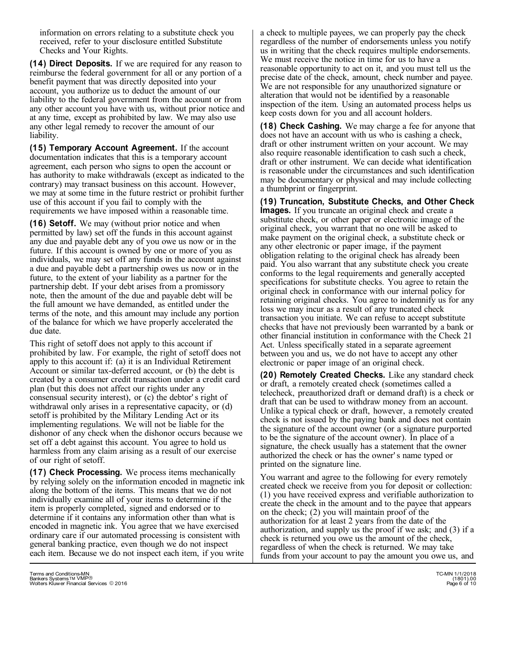information on errors relating to a substitute check you received, refer to your disclosure entitled Substitute Checks and Your Rights.

**(14) Direct Deposits.** If we are required for any reason to reimburse the federal government for all or any portion of a benefit payment that was directly deposited into your account, you authorize us to deduct the amount of our liability to the federal government from the account or from any other account you have with us, without prior notice and at any time, except as prohibited by law. We may also use any other legal remedy to recover the amount of our liability.

**(15) Temporary Account Agreement.** If the account documentation indicates that this is a temporary account agreement, each person who signs to open the account or has authority to make withdrawals (except as indicated to the contrary) may transact business on this account. However, we may at some time in the future restrict or prohibit further use of this account if you fail to comply with the requirements we have imposed within a reasonable time.

**(16) Setoff.** We may (without prior notice and when permitted by law) set off the funds in this account against any due and payable debt any of you owe us now or in the future. If this account is owned by one or more of you as individuals, we may set off any funds in the account against a due and payable debt a partnership owes us now or in the future, to the extent of your liability as a partner for the partnership debt. If your debt arises from a promissory note, then the amount of the due and payable debt will be the full amount we have demanded, as entitled under the terms of the note, and this amount may include any portion of the balance for which we have properly accelerated the due date.

This right of setoff does not apply to this account if prohibited by law. For example, the right of setoff does not apply to this account if: (a) it is an Individual Retirement Account or similar tax-deferred account, or (b) the debt is created by a consumer credit transaction under a credit card plan (but this does not affect our rights under any consensual security interest), or (c) the debtor' s right of withdrawal only arises in a representative capacity, or (d) setoff is prohibited by the Military Lending Act or its implementing regulations. We will not be liable for the dishonor of any check when the dishonor occurs because we set off a debt against this account. You agree to hold us harmless from any claim arising as a result of our exercise of our right of setoff.

**(17) Check Processing.** We process items mechanically by relying solely on the information encoded in magnetic ink along the bottom of the items. This means that we do not individually examine all of your items to determine if the item is properly completed, signed and endorsed or to determine if it contains any information other than what is encoded in magnetic ink. You agree that we have exercised ordinary care if our automated processing is consistent with general banking practice, even though we do not inspect each item. Because we do not inspect each item, if you write

a check to multiple payees, we can properly pay the check regardless of the number of endorsements unless you notify us in writing that the check requires multiple endorsements. We must receive the notice in time for us to have a reasonable opportunity to act on it, and you must tell us the precise date of the check, amount, check number and payee. We are not responsible for any unauthorized signature or alteration that would not be identified by a reasonable inspection of the item. Using an automated process helps us keep costs down for you and all account holders.

**(18) Check Cashing.** We may charge a fee for anyone that does not have an account with us who is cashing a check, draft or other instrument written on your account. We may also require reasonable identification to cash such a check, draft or other instrument. We can decide what identification is reasonable under the circumstances and such identification may be documentary or physical and may include collecting a thumbprint or fingerprint.

**(19) Truncation, Substitute Checks, and Other Check Images.** If you truncate an original check and create a substitute check, or other paper or electronic image of the original check, you warrant that no one will be asked to make payment on the original check, a substitute check or any other electronic or paper image, if the payment obligation relating to the original check has already been paid. You also warrant that any substitute check you create conforms to the legal requirements and generally accepted specifications for substitute checks. You agree to retain the original check in conformance with our internal policy for retaining original checks. You agree to indemnify us for any loss we may incur as a result of any truncated check transaction you initiate. We can refuse to accept substitute checks that have not previously been warranted by a bank or other financial institution in conformance with the Check 21 Act. Unless specifically stated in a separate agreement between you and us, we do not have to accept any other electronic or paper image of an original check.

**(20) Remotely Created Checks.** Like any standard check or draft, a remotely created check (sometimes called a telecheck, preauthorized draft or demand draft) is a check or draft that can be used to withdraw money from an account. Unlike a typical check or draft, however, a remotely created check is not issued by the paying bank and does not contain the signature of the account owner (or a signature purported to be the signature of the account owner). In place of a signature, the check usually has a statement that the owner authorized the check or has the owner' s name typed or printed on the signature line.

You warrant and agree to the following for every remotely created check we receive from you for deposit or collection: (1) you have received express and verifiable authorization to create the check in the amount and to the payee that appears on the check; (2) you will maintain proof of the authorization for at least 2 years from the date of the authorization, and supply us the proof if we ask; and (3) if a check is returned you owe us the amount of the check, regardless of when the check is returned. We may take funds from your account to pay the amount you owe us, and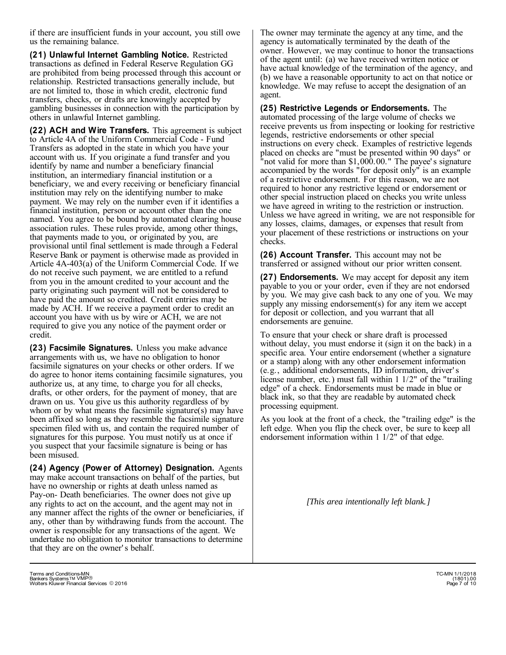if there are insufficient funds in your account, you still owe us the remaining balance.

**(21) Unlawful Internet Gambling Notice.** Restricted transactions as defined in Federal Reserve Regulation GG are prohibited from being processed through this account or relationship. Restricted transactions generally include, but are not limited to, those in which credit, electronic fund transfers, checks, or drafts are knowingly accepted by gambling businesses in connection with the participation by others in unlawful Internet gambling.

**(22) ACH and Wire Transfers.** This agreement is subject to Article 4A of the Uniform Commercial Code - Fund Transfers as adopted in the state in which you have your account with us. If you originate a fund transfer and you identify by name and number a beneficiary financial institution, an intermediary financial institution or a beneficiary, we and every receiving or beneficiary financial institution may rely on the identifying number to make payment. We may rely on the number even if it identifies a financial institution, person or account other than the one named. You agree to be bound by automated clearing house association rules. These rules provide, among other things, that payments made to you, or originated by you, are provisional until final settlement is made through a Federal Reserve Bank or payment is otherwise made as provided in Article 4A-403(a) of the Uniform Commercial Code. If we do not receive such payment, we are entitled to a refund from you in the amount credited to your account and the party originating such payment will not be considered to have paid the amount so credited. Credit entries may be made by ACH. If we receive a payment order to credit an account you have with us by wire or ACH, we are not required to give you any notice of the payment order or credit.

**(23) Facsimile Signatures.** Unless you make advance arrangements with us, we have no obligation to honor facsimile signatures on your checks or other orders. If we do agree to honor items containing facsimile signatures, you authorize us, at any time, to charge you for all checks, drafts, or other orders, for the payment of money, that are drawn on us. You give us this authority regardless of by whom or by what means the facsimile signature(s) may have been affixed so long as they resemble the facsimile signature specimen filed with us, and contain the required number of signatures for this purpose. You must notify us at once if you suspect that your facsimile signature is being or has been misused.

**(24) Agency (Power of Attorney) Designation.** Agents may make account transactions on behalf of the parties, but have no ownership or rights at death unless named as Pay-on- Death beneficiaries. The owner does not give up any rights to act on the account, and the agent may not in any manner affect the rights of the owner or beneficiaries, if any, other than by withdrawing funds from the account. The owner is responsible for any transactions of the agent. We undertake no obligation to monitor transactions to determine that they are on the owner' s behalf.

**(25) Restrictive Legends or Endorsements.** The automated processing of the large volume of checks we receive prevents us from inspecting or looking for restrictive legends, restrictive endorsements or other special instructions on every check. Examples of restrictive legends placed on checks are "must be presented within 90 days" or not valid for more than \$1,000.00." The payee's signature accompanied by the words "for deposit only" is an example of a restrictive endorsement. For this reason, we are not required to honor any restrictive legend or endorsement or other special instruction placed on checks you write unless we have agreed in writing to the restriction or instruction. Unless we have agreed in writing, we are not responsible for any losses, claims, damages, or expenses that result from your placement of these restrictions or instructions on your checks.

**(26) Account Transfer.** This account may not be transferred or assigned without our prior written consent.

**(27) Endorsements.** We may accept for deposit any item payable to you or your order, even if they are not endorsed by you. We may give cash back to any one of you. We may supply any missing endorsement(s) for any item we accept for deposit or collection, and you warrant that all endorsements are genuine.

To ensure that your check or share draft is processed without delay, you must endorse it (sign it on the back) in a specific area. Your entire endorsement (whether a signature or a stamp) along with any other endorsement information (e.g., additional endorsements, ID information, driver' s license number, etc.) must fall within 1 1/2" of the "trailing edge" of a check. Endorsements must be made in blue or black ink, so that they are readable by automated check processing equipment.

As you look at the front of a check, the "trailing edge" is the left edge. When you flip the check over, be sure to keep all endorsement information within 1 1/2" of that edge.

*[This area intentionally left blank.]*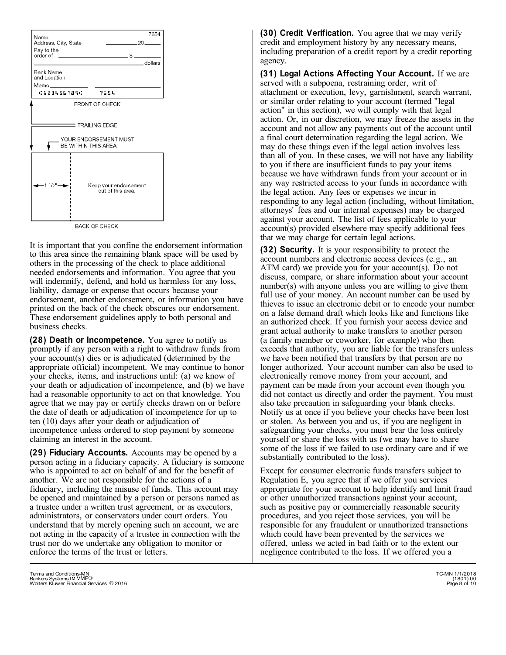

It is important that you confine the endorsement information to this area since the remaining blank space will be used by others in the processing of the check to place additional needed endorsements and information. You agree that you will indemnify, defend, and hold us harmless for any loss, liability, damage or expense that occurs because your endorsement, another endorsement, or information you have printed on the back of the check obscures our endorsement. These endorsement guidelines apply to both personal and business checks.

**(28) Death or Incompetence.** You agree to notify us promptly if any person with a right to withdraw funds from your account(s) dies or is adjudicated (determined by the appropriate official) incompetent. We may continue to honor your checks, items, and instructions until: (a) we know of your death or adjudication of incompetence, and (b) we have had a reasonable opportunity to act on that knowledge. You agree that we may pay or certify checks drawn on or before the date of death or adjudication of incompetence for up to ten (10) days after your death or adjudication of incompetence unless ordered to stop payment by someone claiming an interest in the account.

**(29) Fiduciary Accounts.** Accounts may be opened by a person acting in a fiduciary capacity. A fiduciary is someone who is appointed to act on behalf of and for the benefit of another. We are not responsible for the actions of a fiduciary, including the misuse of funds. This account may be opened and maintained by a person or persons named as a trustee under a written trust agreement, or as executors, administrators, or conservators under court orders. You understand that by merely opening such an account, we are not acting in the capacity of a trustee in connection with the trust nor do we undertake any obligation to monitor or enforce the terms of the trust or letters.

**(30) Credit Verification.** You agree that we may verify credit and employment history by any necessary means, including preparation of a credit report by a credit reporting agency.

**(31) Legal Actions Affecting Your Account.** If we are served with a subpoena, restraining order, writ of attachment or execution, levy, garnishment, search warrant, or similar order relating to your account (termed "legal action" in this section), we will comply with that legal action. Or, in our discretion, we may freeze the assets in the account and not allow any payments out of the account until a final court determination regarding the legal action. We may do these things even if the legal action involves less than all of you. In these cases, we will not have any liability to you if there are insufficient funds to pay your items because we have withdrawn funds from your account or in any way restricted access to your funds in accordance with the legal action. Any fees or expenses we incur in responding to any legal action (including, without limitation, attorneys' fees and our internal expenses) may be charged against your account. The list of fees applicable to your account(s) provided elsewhere may specify additional fees that we may charge for certain legal actions.

**(32) Security.** It is your responsibility to protect the account numbers and electronic access devices (e.g., an ATM card) we provide you for your account(s). Do not discuss, compare, or share information about your account number(s) with anyone unless you are willing to give them full use of your money. An account number can be used by thieves to issue an electronic debit or to encode your number on a false demand draft which looks like and functions like an authorized check. If you furnish your access device and grant actual authority to make transfers to another person (a family member or coworker, for example) who then exceeds that authority, you are liable for the transfers unless we have been notified that transfers by that person are no longer authorized. Your account number can also be used to electronically remove money from your account, and payment can be made from your account even though you did not contact us directly and order the payment. You must also take precaution in safeguarding your blank checks. Notify us at once if you believe your checks have been lost or stolen. As between you and us, if you are negligent in safeguarding your checks, you must bear the loss entirely yourself or share the loss with us (we may have to share some of the loss if we failed to use ordinary care and if we substantially contributed to the loss).

Except for consumer electronic funds transfers subject to Regulation E, you agree that if we offer you services appropriate for your account to help identify and limit fraud or other unauthorized transactions against your account, such as positive pay or commercially reasonable security procedures, and you reject those services, you will be responsible for any fraudulent or unauthorized transactions which could have been prevented by the services we offered, unless we acted in bad faith or to the extent our negligence contributed to the loss. If we offered you a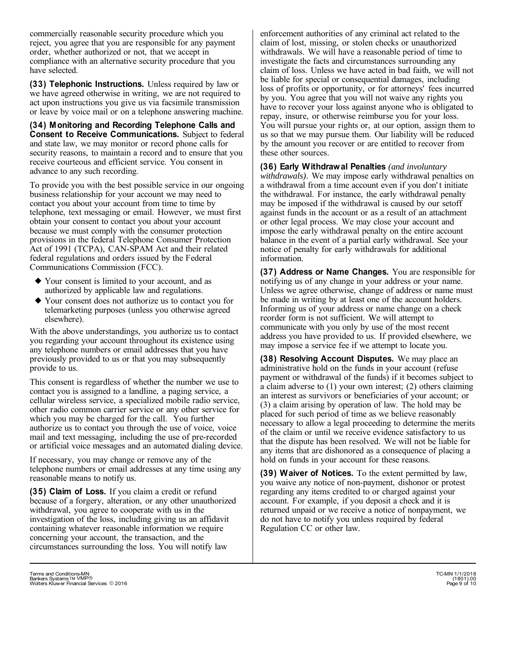commercially reasonable security procedure which you reject, you agree that you are responsible for any payment order, whether authorized or not, that we accept in compliance with an alternative security procedure that you have selected.

**(33) Telephonic Instructions.** Unless required by law or we have agreed otherwise in writing, we are not required to act upon instructions you give us via facsimile transmission or leave by voice mail or on a telephone answering machine.

**(34) Monitoring and Recording Telephone Calls and Consent to Receive Communications.** Subject to federal and state law, we may monitor or record phone calls for security reasons, to maintain a record and to ensure that you receive courteous and efficient service. You consent in advance to any such recording.

To provide you with the best possible service in our ongoing business relationship for your account we may need to contact you about your account from time to time by telephone, text messaging or email. However, we must first obtain your consent to contact you about your account because we must comply with the consumer protection provisions in the federal Telephone Consumer Protection Act of 1991 (TCPA), CAN-SPAM Act and their related federal regulations and orders issued by the Federal Communications Commission (FCC).

- Your consent is limited to your account, and as } authorized by applicable law and regulations.
- Your consent does not authorize us to contact you for } telemarketing purposes (unless you otherwise agreed elsewhere).

With the above understandings, you authorize us to contact you regarding your account throughout its existence using any telephone numbers or email addresses that you have previously provided to us or that you may subsequently provide to us.

This consent is regardless of whether the number we use to contact you is assigned to a landline, a paging service, a cellular wireless service, a specialized mobile radio service, other radio common carrier service or any other service for which you may be charged for the call. You further authorize us to contact you through the use of voice, voice mail and text messaging, including the use of pre-recorded or artificial voice messages and an automated dialing device.

If necessary, you may change or remove any of the telephone numbers or email addresses at any time using any reasonable means to notify us.

**(35) Claim of Loss.** If you claim a credit or refund because of a forgery, alteration, or any other unauthorized withdrawal, you agree to cooperate with us in the investigation of the loss, including giving us an affidavit containing whatever reasonable information we require concerning your account, the transaction, and the circumstances surrounding the loss. You will notify law

enforcement authorities of any criminal act related to the claim of lost, missing, or stolen checks or unauthorized withdrawals. We will have a reasonable period of time to investigate the facts and circumstances surrounding any claim of loss. Unless we have acted in bad faith, we will not be liable for special or consequential damages, including loss of profits or opportunity, or for attorneys' fees incurred by you. You agree that you will not waive any rights you have to recover your loss against anyone who is obligated to repay, insure, or otherwise reimburse you for your loss. You will pursue your rights or, at our option, assign them to us so that we may pursue them. Our liability will be reduced by the amount you recover or are entitled to recover from these other sources.

**(36) Early Withdrawal Penalties** *(and involuntary withdrawals)*. We may impose early withdrawal penalties on a withdrawal from a time account even if you don' t initiate the withdrawal. For instance, the early withdrawal penalty may be imposed if the withdrawal is caused by our setoff against funds in the account or as a result of an attachment or other legal process. We may close your account and impose the early withdrawal penalty on the entire account balance in the event of a partial early withdrawal. See your notice of penalty for early withdrawals for additional information.

**(37) Address or Name Changes.** You are responsible for notifying us of any change in your address or your name. Unless we agree otherwise, change of address or name must be made in writing by at least one of the account holders. Informing us of your address or name change on a check reorder form is not sufficient. We will attempt to communicate with you only by use of the most recent address you have provided to us. If provided elsewhere, we may impose a service fee if we attempt to locate you.

**(38) Resolving Account Disputes.** We may place an administrative hold on the funds in your account (refuse payment or withdrawal of the funds) if it becomes subject to a claim adverse to (1) your own interest; (2) others claiming an interest as survivors or beneficiaries of your account; or (3) a claim arising by operation of law. The hold may be placed for such period of time as we believe reasonably necessary to allow a legal proceeding to determine the merits of the claim or until we receive evidence satisfactory to us that the dispute has been resolved. We will not be liable for any items that are dishonored as a consequence of placing a hold on funds in your account for these reasons.

**(39) Waiver of Notices.** To the extent permitted by law, you waive any notice of non-payment, dishonor or protest regarding any items credited to or charged against your account. For example, if you deposit a check and it is returned unpaid or we receive a notice of nonpayment, we do not have to notify you unless required by federal Regulation CC or other law.